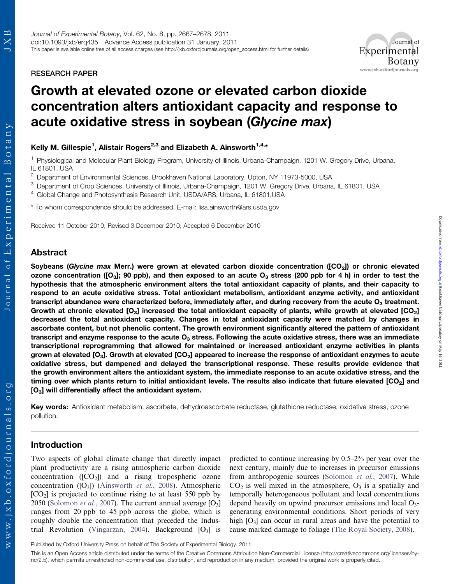Botany

Journal of Experimental

RESEARCH PAPER

# Growth at elevated ozone or elevated carbon dioxide concentration alters antioxidant capacity and response to acute oxidative stress in soybean (Glycine max)

# Kelly M. Gillespie<sup>1</sup>, Alistair Rogers<sup>2,3</sup> and Elizabeth A. Ainsworth<sup>1,4,</sup>\*

<sup>1</sup> Physiological and Molecular Plant Biology Program, University of Illinois, Urbana-Champaign, 1201 W. Gregory Drive, Urbana, IL 61801, USA

<sup>2</sup> Department of Environmental Sciences, Brookhaven National Laboratory, Upton, NY 11973-5000, USA

<sup>3</sup> Department of Crop Sciences, University of Illinois, Urbana-Champaign, 1201 W. Gregory Drive, Urbana, IL 61801, USA

<sup>4</sup> Global Change and Photosynthesis Research Unit, USDA/ARS, Urbana, IL 61801,USA

\* To whom correspondence should be addressed. E-mail: lisa.ainsworth@ars.usda.gov

Received 11 October 2010; Revised 3 December 2010; Accepted 6 December 2010

## Abstract

Soybeans (Glycine max Merr.) were grown at elevated carbon dioxide concentration ( $[CO<sub>2</sub>]$ ) or chronic elevated ozone concentration ([O<sub>3</sub>]; 90 ppb), and then exposed to an acute O<sub>3</sub> stress (200 ppb for 4 h) in order to test the hypothesis that the atmospheric environment alters the total antioxidant capacity of plants, and their capacity to respond to an acute oxidative stress. Total antioxidant metabolism, antioxidant enzyme activity, and antioxidant transcript abundance were characterized before, immediately after, and during recovery from the acute  $O<sub>3</sub>$  treatment. Growth at chronic elevated  $[O_3]$  increased the total antioxidant capacity of plants, while growth at elevated  $[CO_2]$ decreased the total antioxidant capacity. Changes in total antioxidant capacity were matched by changes in ascorbate content, but not phenolic content. The growth environment significantly altered the pattern of antioxidant transcript and enzyme response to the acute  $O_3$  stress. Following the acute oxidative stress, there was an immediate transcriptional reprogramming that allowed for maintained or increased antioxidant enzyme activities in plants grown at elevated  $[O_3]$ . Growth at elevated  $[CO_2]$  appeared to increase the response of antioxidant enzymes to acute oxidative stress, but dampened and delayed the transcriptional response. These results provide evidence that the growth environment alters the antioxidant system, the immediate response to an acute oxidative stress, and the timing over which plants return to initial antioxidant levels. The results also indicate that future elevated  $[CO<sub>2</sub>]$  and [O<sub>3</sub>] will differentially affect the antioxidant system.

Key words: Antioxidant metabolism, ascorbate, dehydroascorbate reductase, glutathione reductase, oxidative stress, ozone pollution.

## Introduction

Two aspects of global climate change that directly impact plant productivity are a rising atmospheric carbon dioxide concentration  $([CO<sub>2</sub>])$  and a rising tropospheric ozone concentration  $([O_3])$  [\(Ainsworth](#page-9-0) *et al.*, 2008). Atmospheric  $[CO<sub>2</sub>]$  is projected to continue rising to at least 550 ppb by 2050 ([Solomon](#page-11-0) et al., 2007). The current annual average  $[O_3]$ ranges from 20 ppb to 45 ppb across the globe, which is roughly double the concentration that preceded the Indus-trial Revolution ([Vingarzan, 2004\)](#page-11-0). Background  $[O_3]$  is predicted to continue increasing by 0.5–2% per year over the next century, mainly due to increases in precursor emissions from anthropogenic sources [\(Solomon](#page-11-0) et al., 2007). While  $CO<sub>2</sub>$  is well mixed in the atmosphere,  $O<sub>3</sub>$  is a spatially and temporally heterogeneous pollutant and local concentrations depend heavily on upwind precursor emissions and local  $O_3$ generating environmental conditions. Short periods of very high  $[O_3]$  can occur in rural areas and have the potential to cause marked damage to foliage [\(The Royal Society, 2008](#page-11-0)).

Journal of

**Botany** 

www.jxb.oxfordjournals.org

Published by Oxford University Press on behalf of The Society of Experimental Biology. 2011.

This is an Open Access article distributed under the terms of the Creative Commons Attribution Non-Commercial License (http://creativecommons.org/licenses/bync/2.5), which permits unrestricted non-commercial use, distribution, and reproduction in any medium, provided the original work is properly cited.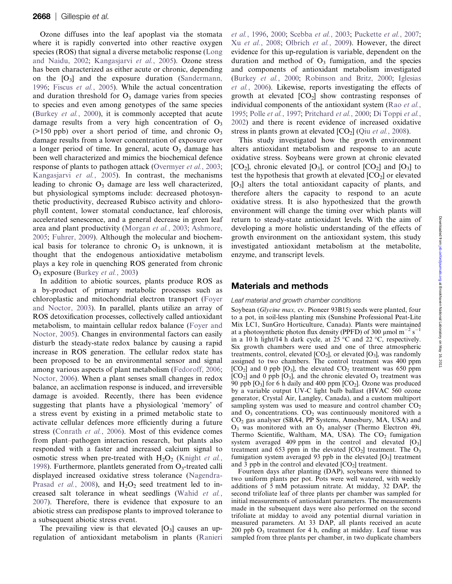Ozone diffuses into the leaf apoplast via the stomata where it is rapidly converted into other reactive oxygen species (ROS) that signal a diverse metabolic response ([Long](#page-10-0) [and Naidu, 2002;](#page-10-0) [Kangasjarvi](#page-10-0) et al., 2005). Ozone stress has been characterized as either acute or chronic, depending on the  $[O_3]$  and the exposure duration ([Sandermann,](#page-11-0) [1996](#page-11-0); Fiscus et al.[, 2005](#page-10-0)). While the actual concentration and duration threshold for  $O<sub>3</sub>$  damage varies from species to species and even among genotypes of the same species ([Burkey](#page-10-0) et al., 2000), it is commonly accepted that acute damage results from a very high concentration of  $O_3$  $(>150 \text{ pb})$  over a short period of time, and chronic  $O_3$ damage results from a lower concentration of exposure over a longer period of time. In general, acute  $O<sub>3</sub>$  damage has been well characterized and mimics the biochemical defence response of plants to pathogen attack [\(Overmyer](#page-11-0) et al., 2003; [Kangasjarvi](#page-10-0) et al., 2005). In contrast, the mechanisms leading to chronic  $O_3$  damage are less well characterized, but physiological symptoms include: decreased photosynthetic productivity, decreased Rubisco activity and chlorophyll content, lower stomatal conductance, leaf chlorosis, accelerated senescence, and a general decrease in green leaf area and plant productivity ([Morgan](#page-11-0) et al., 2003; [Ashmore,](#page-9-0) [2005](#page-9-0); [Fuhrer, 2009](#page-10-0)). Although the molecular and biochemical basis for tolerance to chronic  $O_3$  is unknown, it is thought that the endogenous antioxidative metabolism plays a key role in quenching ROS generated from chronic  $O_3$  exposure [\(Burkey](#page-9-0) *et al.*, 2003)

In addition to abiotic sources, plants produce ROS as a by-product of primary metabolic processes such as chloroplastic and mitochondrial electron transport [\(Foyer](#page-10-0) [and Noctor, 2003\)](#page-10-0). In parallel, plants utilize an array of ROS detoxification processes, collectively called antioxidant metabolism, to maintain cellular redox balance [\(Foyer and](#page-10-0) [Noctor, 2005](#page-10-0)). Changes in environmental factors can easily disturb the steady-state redox balance by causing a rapid increase in ROS generation. The cellular redox state has been proposed to be an environmental sensor and signal among various aspects of plant metabolism [\(Fedoroff, 2006;](#page-10-0) [Noctor, 2006](#page-11-0)). When a plant senses small changes in redox balance, an acclimation response is induced, and irreversible damage is avoided. Recently, there has been evidence suggesting that plants have a physiological 'memory' of a stress event by existing in a primed metabolic state to activate cellular defences more efficiently during a future stress [\(Conrath](#page-10-0) et al., 2006). Most of this evidence comes from plant–pathogen interaction research, but plants also responded with a faster and increased calcium signal to osmotic stress when pre-treated with  $H_2O_2$  [\(Knight](#page-10-0) et al., [1998\)](#page-10-0). Furthermore, plantlets generated from  $O_3$ -treated calli displayed increased oxidative stress tolerance ([Nagendra-](#page-11-0)[Prasad](#page-11-0) *et al.*, 2008), and  $H_2O_2$  seed treatment led to increased salt tolerance in wheat seedlings [\(Wahid](#page-11-0) et al., [2007](#page-11-0)). Therefore, there is evidence that exposure to an abiotic stress can predispose plants to improved tolerance to a subsequent abiotic stress event.

The prevailing view is that elevated  $[O_3]$  causes an upregulation of antioxidant metabolism in plants ([Ranieri](#page-11-0) et al.[, 1996,](#page-11-0) [2000;](#page-11-0) [Scebba](#page-11-0) et al., 2003; [Puckette](#page-11-0) et al., 2007; Xu et al.[, 2008](#page-11-0); [Olbrich](#page-11-0) et al., 2009). However, the direct evidence for this up-regulation is variable, dependent on the duration and method of  $O_3$  fumigation, and the species and components of antioxidant metabolism investigated ([Burkey](#page-10-0) et al., 2000; [Robinson and Britz, 2000](#page-11-0); [Iglesias](#page-10-0) et al.[, 2006\)](#page-10-0). Likewise, reports investigating the effects of growth at elevated  $[CO<sub>2</sub>]$  show contrasting responses of individual components of the antioxidant system (Rao [et al.](#page-11-0), [1995;](#page-11-0) Polle et al.[, 1997](#page-11-0); [Pritchard](#page-11-0) et al., 2000; [Di Toppi](#page-10-0) et al., [2002\)](#page-10-0) and there is recent evidence of increased oxidative stress in plants grown at elevated  $[CO_2]$  (Qiu *et al.*[, 2008\)](#page-11-0).

This study investigated how the growth environment alters antioxidant metabolism and response to an acute oxidative stress. Soybeans were grown at chronic elevated  $[CO_2]$ , chronic elevated  $[O_3]$ , or control  $[CO_2]$  and  $[O_3]$  to test the hypothesis that growth at elevated  $[CO<sub>2</sub>]$  or elevated [O3] alters the total antioxidant capacity of plants, and therefore alters the capacity to respond to an acute oxidative stress. It is also hypothesized that the growth environment will change the timing over which plants will return to steady-state antioxidant levels. With the aim of developing a more holistic understanding of the effects of growth environment on the antioxidant system, this study investigated antioxidant metabolism at the metabolite, enzyme, and transcript levels.

# Materials and methods

#### Leaf material and growth chamber conditions

Soybean (Glycine max, cv. Pioneer 93B15) seeds were planted, four to a pot, in soil-less planting mix (Sunshine Professional Peat-Lite Mix LC1, SunGro Horticulture, Canada). Plants were maintained at a photosynthetic photon flux density (PPFD) of 300  $\mu$ mol m<sup>-2</sup> s<sup>-1</sup> in a 10 h light/14 h dark cycle, at 25 °C and 22 °C, respectively. Six growth chambers were used and one of three atmospheric treatments, control, elevated  $[CO_2]$ , or elevated  $[O_3]$ , was randomly assigned to two chambers. The control treatment was 400 ppm  $[CO<sub>2</sub>]$  and 0 ppb  $[O<sub>3</sub>]$ , the elevated  $CO<sub>2</sub>$  treatment was 650 ppm  $[CO<sub>2</sub>]$  and 0 ppb  $[O<sub>3</sub>]$ , and the chronic elevated  $O<sub>3</sub>$  treatment was 90 ppb  $[O_3]$  for 6 h daily and 400 ppm  $[CO_2]$ . Ozone was produced by a variable output UV-C light bulb ballast (HVAC 560 ozone generator, Crystal Air, Langley, Canada), and a custom multiport sampling system was used to measure and control chamber  $CO<sub>2</sub>$ and  $O_3$  concentrations.  $CO_2$  was continuously monitored with a  $CO<sub>2</sub>$  gas analyser (SBA4, PP Systems, Amesbury, MA, USA) and  $O_3$  was monitored with an  $O_3$  analyser (Thermo Electron 49i, Thermo Scientific, Waltham, MA, USA). The  $CO<sub>2</sub>$  fumigation system averaged 409 ppm in the control and elevated  $[O_3]$ treatment and 653 ppm in the elevated  $[CO_2]$  treatment. The  $O_3$ fumigation system averaged 93 ppb in the elevated  $[O_3]$  treatment and 3 ppb in the control and elevated  $[CO<sub>2</sub>]$  treatment.

Fourteen days after planting (DAP), soybeans were thinned to two uniform plants per pot. Pots were well watered, with weekly additions of 5 mM potassium nitrate. At midday, 32 DAP, the second trifoliate leaf of three plants per chamber was sampled for initial measurements of antioxidant parameters. The measurements made in the subsequent days were also performed on the second trifoliate at midday to avoid any potential diurnal variation in measured parameters. At 33 DAP, all plants received an acute  $200$  ppb  $O_3$  treatment for 4 h, ending at midday. Leaf tissue was sampled from three plants per chamber, in two duplicate chambers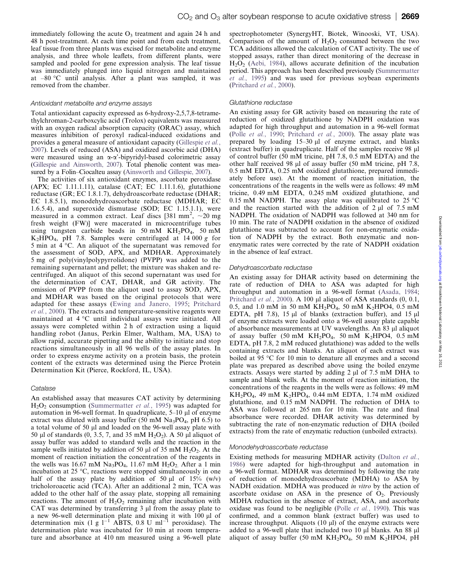immediately following the acute  $O_3$  treatment and again 24 h and 48 h post-treatment. At each time point and from each treatment, leaf tissue from three plants was excised for metabolite and enzyme analysis, and three whole leaflets, from different plants, were sampled and pooled for gene expression analysis. The leaf tissue was immediately plunged into liquid nitrogen and maintained at –80 C until analysis. After a plant was sampled, it was removed from the chamber.

#### Antioxidant metabolite and enzyme assays

Total antioxidant capacity expressed as 6-hydroxy-2,5,7,8-tetramethylchroman-2-carboxcylic acid (Trolox) equivalents was measured with an oxygen radical absorption capacity (ORAC) assay, which measures inhibition of peroxyl radical-induced oxidations and provides a general measure of antioxidant capacity ([Gillespie](#page-10-0) et al., [2007\)](#page-10-0). Levels of reduced (ASA) and oxidized ascorbic acid (DHA) were measured using an  $\alpha$ - $\alpha$ '-bipyridyl-based colorimetric assay ([Gillespie and Ainsworth, 2007\)](#page-10-0). Total phenolic content was measured by a Folin–Ciocalteu assay [\(Ainsworth and Gillespie, 2007\)](#page-9-0).

The activities of six antioxidant enzymes, ascorbate peroxidase (APX; EC 1.11.1.11), catalase (CAT; EC 1.11.1.6), glutathione reductase (GR; EC 1.8.1.7), dehydroascorbate reductase (DHAR; EC 1.8.5.1), monodehydroascorbate reductase (MDHAR; EC 1.6.5.4), and superoxide dismutase (SOD; EC 1.15.1.1), were measured in a common extract. Leaf discs [381 mm<sup>2</sup>,  $\sim$ 20 mg fresh weight (FW)] were macerated in microcentrifuge tubes using tungsten carbide beads in 50 mM  $KH_2PO_4$ , 50 mM K<sub>2</sub>HPO<sub>4</sub>, pH 7.8. Samples were centrifuged at 14 000 g for 5 min at  $4^{\circ}$ C. An aliquot of the supernatant was removed for the assessment of SOD, APX, and MDHAR. Approximately 5 mg of poly(vinylpolypyrrolidone) (PVPP) was added to the remaining supernatant and pellet; the mixture was shaken and recentrifuged. An aliquot of this second supernatant was used for the determination of CAT, DHAR, and GR activity. The omission of PVPP from the aliquot used to assay SOD, APX, and MDHAR was based on the original protocols that were adapted for these assays ([Ewing and Janero, 1995](#page-10-0); [Pritchard](#page-11-0) et al.[, 2000](#page-11-0)). The extracts and temperature-sensitive reagents were maintained at 4 °C until individual assays were initiated. All assays were completed within 2 h of extraction using a liquid handling robot (Janus, Perkin Elmer, Waltham, MA, USA) to allow rapid, accurate pipetting and the ability to initiate and stop reactions simultaneously in all 96 wells of the assay plates. In order to express enzyme activity on a protein basis, the protein content of the extracts was determined using the Pierce Protein Determination Kit (Pierce, Rockford, IL, USA).

#### Catalase

An established assay that measures CAT activity by determining  $H<sub>2</sub>O<sub>2</sub>$  consumption [\(Summermatter](#page-11-0) *et al.*, 1995) was adapted for automation in 96-well format. In quadruplicate,  $5-10$  µl of enzyme extract was diluted with assay buffer (50 mM  $Na<sub>3</sub>PO<sub>4</sub>$ , pH 6.5) to a total volume of 50  $\mu$ l and loaded on the 96-well assay plate with 50 µl of standards  $(0, 3.5, 7,$  and 35 mM  $H_2O_2$ ). A 50 µl aliquot of assay buffer was added to standard wells and the reaction in the sample wells initiated by addition of 50  $\mu$ l of 35 mM H<sub>2</sub>O<sub>2</sub>. At the moment of reaction initiation the concentration of the reagents in the wells was 16.67 mM  $Na<sub>3</sub>PO<sub>4</sub>$ , 11.67 mM  $H<sub>2</sub>O<sub>2</sub>$ . After a 1 min incubation at  $25 \text{ °C}$ , reactions were stopped simultaneously in one half of the assay plate by addition of 50  $\mu$ l of 15% (w/v) tricholoroacetic acid (TCA). After an additional 2 min, TCA was added to the other half of the assay plate, stopping all remaining reactions. The amount of  $H_2O_2$  remaining after incubation with CAT was determined by transferring  $3 \mu$  from the assay plate to a new 96-well determination plate and mixing it with  $100 \mu l$  of determination mix (1 g  $1^{-1}$  ABTS, 0.8 U m $1^{-1}$  peroxidase). The determination plate was incubated for 10 min at room temperature and absorbance at 410 nm measured using a 96-well plate spectrophotometer (SynergyHT, Biotek, Winooski, VT, USA). Comparison of the amount of  $H_2O_2$  consumed between the two TCA additions allowed the calculation of CAT activity. The use of stopped assays, rather than direct monitoring of the decrease in  $H<sub>2</sub>O<sub>2</sub>$  [\(Aebi, 1984\)](#page-9-0), allows accurate definition of the incubation period. This approach has been described previously [\(Summermatter](#page-11-0) et al.[, 1995\)](#page-11-0) and was used for previous soybean experiments ([Pritchard](#page-11-0) et al., 2000).

#### Glutathione reductase

An existing assay for GR activity based on measuring the rate of reduction of oxidized glutathione by NADPH oxidation was adapted for high throughput and automation in a 96-well format (Polle et al.[, 1990](#page-11-0); [Pritchard](#page-11-0) et al., 2000). The assay plate was prepared by loading  $15-30 \mu l$  of enzyme extract, and blanks (extract buffer) in quadruplicate. Half of the samples receive 98 µl of control buffer (50 mM tricine, pH 7.8, 0.5 mM EDTA) and the other half received 98  $\mu$ l of assay buffer (50 mM tricine, pH 7.8, 0.5 mM EDTA, 0.25 mM oxidized glutathione, prepared immediately before use). At the moment of reaction initiation, the concentrations of the reagents in the wells were as follows: 49 mM tricine, 0.49 mM EDTA, 0.245 mM oxidized glutathione, and 0.15 mM NADPH. The assay plate was equilibrated to 25  $\degree$ C and the reaction started with the addition of  $2 \mu$  of  $7.5 \text{ mM}$ NADPH. The oxidation of NADPH was followed at 340 nm for 10 min. The rate of NADPH oxidation in the absence of oxidized glutathione was subtracted to account for non-enzymatic oxidation of NADPH by the extract. Both enzymatic and nonenzymatic rates were corrected by the rate of NADPH oxidation in the absence of leaf extract.

#### Dehydroascorbate reductase

An existing assay for DHAR activity based on determining the rate of reduction of DHA to ASA was adapted for high throughput and automation in a 96-well format ([Asada, 1984](#page-9-0); [Pritchard](#page-11-0) et al., 2000). A 100  $\mu$ l aliquot of ASA standards (0, 0.1, 0.5, and 1.0 mM in 50 mM  $KH_2PO_4$ , 50 mM  $K_2HPO4$ , 0.5 mM EDTA, pH 7.8), 15  $\mu$ l of blanks (extraction buffer), and 15  $\mu$ l of enzyme extracts were loaded onto a 96-well assay plate capable of absorbance measurements at UV wavelengths. An 83 µl aliquot of assay buffer (50 mM  $KH_2PO_4$ , 50 mM  $K_2HPO4$ , 0.5 mM EDTA, pH 7.8, 2 mM reduced glutathione) was added to the wells containing extracts and blanks. An aliquot of each extract was boiled at 95 °C for 10 min to denature all enzymes and a second plate was prepared as described above using the boiled enzyme extracts. Assays were started by adding  $2 \mu$  of 7.5 mM DHA to sample and blank wells. At the moment of reaction initiation, the concentrations of the reagents in the wells were as follows: 49 mM  $KH_2PO_4$ , 49 mM  $K_2HPO_4$ , 0.44 mM EDTA, 1.74 mM oxidized glutathione, and 0.15 mM NADPH. The reduction of DHA to ASA was followed at 265 nm for 10 min. The rate and final absorbance were recorded. DHAR activity was determined by subtracting the rate of non-enzymatic reduction of DHA (boiled extracts) from the rate of enzymatic reduction (unboiled extracts).

#### Monodehydroascorbate reductase

Existing methods for measuring MDHAR activity [\(Dalton](#page-10-0) et al., [1986\)](#page-10-0) were adapted for high-throughput and automation in a 96-well format. MDHAR was determined by following the rate of reduction of monodehydroascorbate (MDHA) to ASA by NADH oxidation. MDHA was produced in vitro by the action of ascorbate oxidase on ASA in the presence of  $O_2$ . Previously MDHA reduction in the absence of extract, ASA, and ascorbate oxidase was found to be negligible (Polle et al.[, 1990\)](#page-11-0). This was confirmed, and a common blank (extract buffer) was used to increase throughput. Aliquots  $(10 \mu l)$  of the enzyme extracts were added to a 96-well plate that included two 10 µl blanks. An 88 µl aliquot of assay buffer (50 mM KH<sub>2</sub>PO<sub>4</sub>, 50 mM K<sub>2</sub>HPO4, pH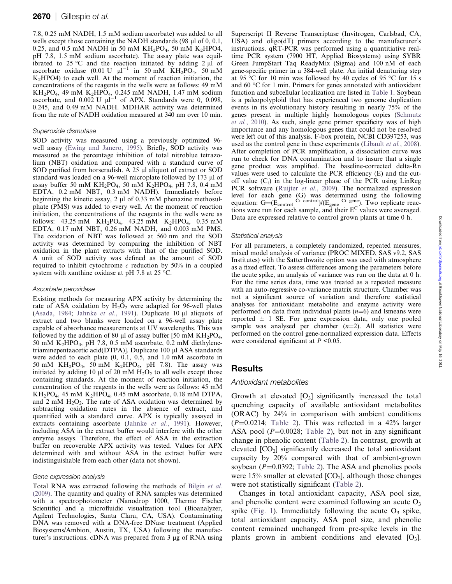7.8, 0.25 mM NADH, 1.5 mM sodium ascorbate) was added to all wells except those containing the NADH standards  $(98 \mu)$  of 0, 0.1, 0.25, and 0.5 mM NADH in 50 mM  $KH_2PO_4$ , 50 mM  $K_2HPO4$ , pH 7.8, 1.5 mM sodium ascorbate). The assay plate was equilibrated to 25 °C and the reaction initiated by adding 2  $\mu$ l of ascorbate oxidase (0.01 U  $\mu$ l<sup>-1</sup> in 50 mM KH<sub>2</sub>PO<sub>4</sub>, 50 mM  $K<sub>2</sub>HPO4$ ) to each well. At the moment of reaction initiation, the concentrations of the reagents in the wells were as follows: 49 mM  $KH_2PO_4$ , 49 mM  $K_2HPO_4$ , 0.245 mM NADH, 1.47 mM sodium ascorbate, and  $0.002$  U  $\mu$ l<sup>-1</sup> of APX. Standards were 0, 0.098, 0.245, and 0.49 mM NADH. MDHAR activity was determined from the rate of NADH oxidation measured at 340 nm over 10 min.

#### Superoxide dismutase

SOD activity was measured using a previously optimized 96 well assay ([Ewing and Janero, 1995](#page-10-0)). Briefly, SOD activity was measured as the percentage inhibition of total nitroblue tetrazolium (NBT) oxidation and compared with a standard curve of SOD purified from horseradish.  $\overline{A}$  25  $\mu$ l aliquot of extract or SOD standard was loaded on a 96-well microplate followed by 173 µl of assay buffer 50 mM KH<sub>2</sub>PO<sub>4</sub>, 50 mM K<sub>2</sub>HPO<sub>4</sub>, pH 7.8, 0.4 mM EDTA, 0.2 mM NBT, 0.3 mM NADH). Immediately before beginning the kinetic assay,  $2 \mu$ l of 0.33 mM phenazine methosulphate (PMS) was added to every well. At the moment of reaction initiation, the concentrations of the reagents in the wells were as follows:  $43.25 \text{ mM}$  KH<sub>2</sub>PO<sub>4</sub>,  $43.25 \text{ mM}$  K<sub>2</sub>HPO<sub>4</sub>,  $0.35 \text{ mM}$ EDTA, 0.17 mM NBT, 0.26 mM NADH, and 0.003 mM PMS. The oxidation of NBT was followed at 560 nm and the SOD activity was determined by comparing the inhibition of NBT oxidation in the plant extracts with that of the purified SOD. A unit of SOD activity was defined as the amount of SOD required to inhibit cytochrome  $c$  reduction by 50% in a coupled system with xanthine oxidase at pH 7.8 at 25  $^{\circ}$ C.

#### Ascorbate peroxidase

Existing methods for measuring APX activity by determining the rate of ASA oxidation by  $H_2O_2$  were adapted for 96-well plates [\(Asada, 1984;](#page-9-0) [Jahnke](#page-10-0) et al., 1991). Duplicate 10  $\mu$ l aliquots of extract and two blanks were loaded on a 96-well assay plate capable of absorbance measurements at UV wavelengths. This was followed by the addition of 80  $\mu$ l of assay buffer [50 mM KH<sub>2</sub>PO<sub>4</sub>, 50 mM K2HPO4, pH 7.8, 0.5 mM ascorbate, 0.2 mM diethylenetriaminepentaacetic acid(DTPA)]. Duplicate 100 µl ASA standards were added to each plate (0, 0.1, 0.5, and 1.0 mM ascorbate in 50 mM KH<sub>2</sub>PO<sub>4</sub>, 50 mM K<sub>2</sub>HPO<sub>4</sub>, pH 7.8). The assay was initiated by adding 10  $\mu$ l of 20 mM H<sub>2</sub>O<sub>2</sub> to all wells except those containing standards. At the moment of reaction initiation, the concentration of the reagents in the wells were as follows: 45 mM  $KH_2PO_4$ , 45 mM  $K_2HPO_4$ , 0.45 mM ascorbate, 0.18 mM DTPA, and 2 mM  $H<sub>2</sub>O<sub>2</sub>$ . The rate of ASA oxidation was determined by subtracting oxidation rates in the absence of extract, and quantified with a standard curve. APX is typically assayed in extracts containing ascorbate ([Jahnke](#page-10-0) et al., 1991). However, including ASA in the extract buffer would interfere with the other enzyme assays. Therefore, the effect of ASA in the extraction buffer on recoverable APX activity was tested. Values for APX determined with and without ASA in the extract buffer were indistinguishable from each other (data not shown).

#### Gene expression analysis

Total RNA was extracted following the methods of [Bilgin](#page-9-0) et al. [\(2009\)](#page-9-0). The quantity and quality of RNA samples was determined with a spectrophotometer (Nanodrop 1000, Thermo Fischer Scientific) and a microfluidic visualization tool (Bioanalyzer, Agilent Technologies, Santa Clara, CA, USA). Contaminating DNA was removed with a DNA-free DNase treatment (Applied Biosystems/Ambion, Austin, TX, USA) following the manufacturer's instructions. cDNA was prepared from 3 µg of RNA using Superscript II Reverse Transcriptase (Invitrogen, Carlsbad, CA, USA) and oligo(dT) primers according to the manufacturer's instructions. qRT-PCR was performed using a quantitiative realtime PCR system (7900 HT, Applied Biosystems) using SYBR Green JumpStart Taq ReadyMix (Sigma) and 100 nM of each gene-specific primer in a 384-well plate. An initial denaturing step at 95 °C for 10 min was followed by 40 cycles of 95 °C for 15 s and  $60 °C$  for 1 min. Primers for genes annotated with antioxidant function and subcellular localization are listed in [Table 1.](#page-4-0) Soybean is a paleopolyploid that has experienced two genome duplication events in its evolutionary history resulting in nearly 75% of the genes present in multiple highly homologous copies [\(Schmutz](#page-11-0) et al.[, 2010\)](#page-11-0). As such, single gene primer specificity was of high importance and any homologous genes that could not be resolved were left out of this analysis. F-box protein, NCBI CD397253, was used as the control gene in these experiments [\(Libault](#page-10-0) et al., 2008). After completion of PCR amplification, a dissociation curve was run to check for DNA contamination and to insure that a single gene product was amplified. The baseline-corrected delta-Rn values were used to calculate the PCR efficiency (E) and the cutoff value  $(C_t)$  in the log-linear phase of the PCR using LinReg PCR software ([Ruijter](#page-11-0) et al., 2009). The normalized expression level for each gene (G) was determined using the following equation:  $G = (E_{control})/(E_{gene}^{Ct-gene})$ . Two replicate reactions were run for each sample, and their  $E^C$  values were averaged. Data are expressed relative to control grown plants at time 0 h.

#### Statistical analysis

For all parameters, a completely randomized, repeated measures, mixed model analysis of variance (PROC MIXED, SAS v9.2, SAS Institutes) with the Satterthwaite option was used with atmosphere as a fixed effect. To assess differences among the parameters before the acute spike, an analysis of variance was run on the data at 0 h. For the time series data, time was treated as a repeated measure with an auto-regressive co-variance matrix structure. Chamber was not a significant source of variation and therefore statistical analyses for antioxidant metabolite and enzyme activity were performed on data from individual plants  $(n=6)$  and lsmeans were reported  $\pm$  1 SE. For gene expression data, only one pooled sample was analysed per chamber  $(n=2)$ . All statistics were performed on the control gene-normalized expression data. Effects were considered significant at  $P \leq 0.05$ .

## Results

## Antioxidant metabolites

Growth at elevated  $[O_3]$  significantly increased the total quenching capacity of available antioxidant metabolites (ORAC) by 24% in comparison with ambient conditions  $(P=0.0214;$  [Table 2](#page-4-0)). This was reflected in a 42% larger ASA pool  $(P=0.0028;$  [Table 2](#page-4-0)), but not in any significant change in phenolic content ([Table 2\)](#page-4-0). In contrast, growth at elevated  $[CO<sub>2</sub>]$  significantly decreased the total antioxidant capacity by 20% compared with that of ambient-grown soybean  $(P=0.0392;$  [Table 2\)](#page-4-0). The ASA and phenolics pools were 15% smaller at elevated  $[CO_2]$ , although those changes were not statistically significant ([Table 2](#page-4-0)).

Changes in total antioxidant capacity, ASA pool size, and phenolic content were examined following an acute  $O_3$ spike (Fig. 1). Immediately following the acute  $O_3$  spike, total antioxidant capacity, ASA pool size, and phenolic content remained unchanged from pre-spike levels in the plants grown in ambient conditions and elevated  $[O_3]$ .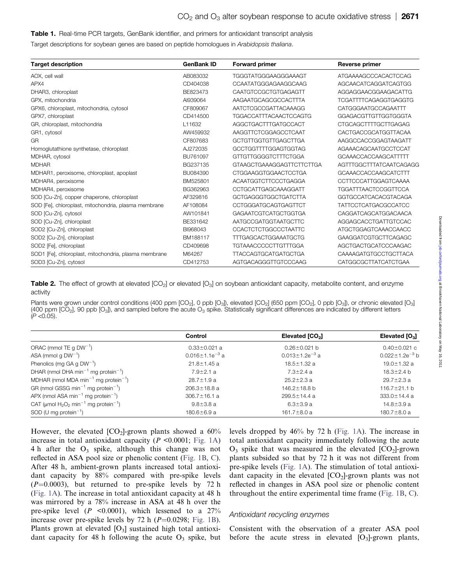#### <span id="page-4-0"></span>Table 1. Real-time PCR targets, GenBank identifier, and primers for antioxidant transcript analysis

Target descriptions for soybean genes are based on peptide homologues in Arabidopsis thaliana.

| <b>Target description</b>                             | <b>GenBank ID</b> | <b>Forward primer</b>         | Reverse primer               |
|-------------------------------------------------------|-------------------|-------------------------------|------------------------------|
| AOX, cell wall                                        | AB083032          | TGGGTATGGGAAGGGAAAGT          | ATGAAAAGCCCACACTCCAG         |
| APX4                                                  | CD404038          | CCAATATGGGAGAAGGCAAG          | AGCAACATCAGGATCAGTGG         |
| DHAR3, chloroplast                                    | BE823473          | CAATGTCCGCTGTGAGAGTT          | AGGAGGAACGGAAGACATTG         |
| GPX, mitochondria                                     | AI939064          | AAGAATGCAGCGCCACTTTA          | <b>TCGATTTTCAGAGGTGAGGTG</b> |
| GPX6, chloroplast, mitochondria, cytosol              | CF809067          | AATCTCGCCGATTACAAAGG          | CATGGGAATGCCAGAATTT          |
| GPX7, chloroplast                                     | CD414500          | <b>TGGACCATTTACAACTCCAGTG</b> | GGAGACGTTGTTGGTGGGTA         |
| GR, chloroplast, mitochondria                         | L11632            | AGGCTGACTTTGATGCCACT          | <b>CTGCAGCTTTTGCTTGAGAG</b>  |
| GR1, cytosol                                          | AW459932          | AAGGTTCTCGGAGCCTCAAT          | <b>CACTGACCGCATGGTTACAA</b>  |
| GR                                                    | CF807683          | GCTGTTGGTGTTGAGCTTGA          | AAGGCCACCGGAGTAAGATT         |
| Homoglutathione synthetase, chloroplast               | AJ272035          | GCCTGGTTTTGGAGTGGTAG          | AGAAACAGCAATGCCTCCAT         |
| MDHAR, cytosol                                        | BU761097          | GTTGTTGGGGTCTTTCTGGA          | GCAAACCACCAAGCATTTT          |
| <b>MDHAR</b>                                          | BG237135          | GTAAGCTGAAAGGAGTTCTTCTTGA     | AGTTTGGCTTTATCAATCAGAGG      |
| MDHAR1, peroxisome, chloroplast, apoplast             | BU084390          | <b>CTGGAAGGTGGAACTCCTGA</b>   | GCAAACCACCAAGCATCTTT         |
| MDHAR4, peroxisome                                    | BM525801          | <b>ACAATGGTCTTCCCTGAGGA</b>   | <b>CCTTCCCATTGGAGTCAAAA</b>  |
| MDHAR4, peroxisome                                    | BG362963          | CCTGCATTGAGCAAAGGATT          | <b>TGGATTTAACTCCGGTTCCA</b>  |
| SOD [Cu-Zn], copper chaperone, chloroplast            | AF329816          | GCTGAGGGTGGCTGATCTTA          | GGTGCCATCACACGTACAGA         |
| SOD [Fe], chloroplast, mitochondria, plasma membrane  | AF108084          | CCTGGGATGCAGTGAGTTCT          | <b>TATTCCTCATGACGCCATCC</b>  |
| SOD [Cu-Zn], cytosol                                  | AW101841          | <b>GAGAATCGTCATGCTGGTGA</b>   | <b>CAGGATCAGCATGGACAACA</b>  |
| SOD [Cu-Zn], chloroplast                              | BE331642          | AATGCCGATGGTAATGCTTC          | AGGAGCACCTGATTGTCCAC         |
| SOD2 [Cu-Zn], chloroplast                             | BI968043          | <b>CCACTCTCTGGCCCTAATTC</b>   | ATGCTGGAGTCAAACCAACC         |
| SOD2 [Cu-Zn], chloroplast                             | BM188117          | TTTGAGCACTGGAAATGCTG          | GAAGGATCGTGCTTCAGAGC         |
| SOD2 [Fe], chloroplast                                | CD409698          | <b>TGTAAACCCCCTTGTTTGGA</b>   | AGCTGACTGCATCCCAAGAC         |
| SOD1 [Fe], chloroplast, mitochondria, plasma membrane | M64267            | <b>TTACCAGTGCATGATGCTGA</b>   | CAAAAGATGTGCCTGCTTACA        |
| SOD3 [Cu-Zn], cytosol                                 | CD412753          | AGTGACAGGGTTGTCCCAAG          | <b>CATGGCGCTTATCATCTGAA</b>  |

Table 2. The effect of growth at elevated  $[CO_2]$  or elevated  $[O_3]$  on soybean antioxidant capacity, metabolite content, and enzyme activity

Plants were grown under control conditions (400 ppm  $[CO_2]$ , 0 ppb  $[O_3]$ ), elevated  $[CO_2]$  (650 ppm  $[CO_2]$ , 0 ppb  $[O_3]$ ), or chronic elevated  $[O_3]$ (400 ppm  $[CO_2]$ , 90 ppb  $[O_3]$ ), and sampled before the acute  $O_3$  spike. Statistically significant differences are indicated by different letters  $(P < 0.05)$ .

|                                                                 | <b>Control</b>                   | Elevated [CO <sub>2</sub> ] | Elevated $[O_3]$        |  |
|-----------------------------------------------------------------|----------------------------------|-----------------------------|-------------------------|--|
| ORAC (mmol TE q $DW^{-1}$ )                                     | $0.33 \pm 0.021$ a               | $0.26 \pm 0.021$ b          | $0.40 \pm 0.021$ c      |  |
| ASA (mmol q $DW^{-1}$ )                                         | 0.016 $\pm$ 1.1e <sup>-3</sup> a | $0.013 \pm 1.2e^{-3}$ a     | $0.022 \pm 1.2e^{-3}$ b |  |
| Phenolics (mg GA g $DW^{-1}$ )                                  | $21.8 \pm 1.45$ a                | $18.5 \pm 1.32$ a           | $19.0 \pm 1.32$ a       |  |
| DHAR (nmol DHA min <sup>-1</sup> mg protein <sup>-1</sup> )     | $7.9 \pm 2.1$ a                  | $7.3 \pm 2.4$ a             | $18.3 \pm 2.4$ b        |  |
| MDHAR (nmol MDA min <sup>-1</sup> mg protein <sup>-1</sup> )    | $28.7 \pm 1.9$ a                 | $25.2 \pm 2.3$ a            | $29.7 \pm 2.3$ a        |  |
| GR (nmol GSSG min <sup>-1</sup> mg protein <sup>-1</sup> )      | $206.3 \pm 18.8$ a               | 146.2±18.8 b                | 116.7 $\pm$ 21.1 b      |  |
| APX (nmol ASA min <sup>-1</sup> mg protein <sup>-1</sup> )      | $306.7 \pm 16.1$ a               | $299.5 \pm 14.4$ a          | 333.0±14.4 a            |  |
| CAT (µmol $H_2O_2$ min <sup>-1</sup> mg protein <sup>-1</sup> ) | $9.8 \pm 3.8$ a                  | $6.3 \pm 3.9 a$             | $14.8 \pm 3.9$ a        |  |
| SOD (U mg protein $^{-1}$ )                                     | $180.6 \pm 6.9$ a                | $161.7 \pm 8.0$ a           | $180.7 \pm 8.0$ a       |  |

However, the elevated  $[CO_2]$ -grown plants showed a  $60\%$ increase in total antioxidant capacity ( $P \le 0.0001$ ; Fig. 1A) 4 h after the  $O_3$  spike, although this change was not reflected in ASA pool size or phenolic content (Fig. 1B, C). After 48 h, ambient-grown plants increased total antioxidant capacity by 88% compared with pre-spike levels  $(P=0.0003)$ , but returned to pre-spike levels by 72 h (Fig. 1A). The increase in total antioxidant capacity at 48 h was mirrored by a 78% increase in ASA at 48 h over the pre-spike level  $(P \le 0.0001)$ , which lessened to a  $27\%$ increase over pre-spike levels by 72 h  $(P=0.0298;$  Fig. 1B). Plants grown at elevated  $[O_3]$  sustained high total antioxidant capacity for 48 h following the acute  $O_3$  spike, but levels dropped by 46% by 72 h (Fig. 1A). The increase in total antioxidant capacity immediately following the acute  $O_3$  spike that was measured in the elevated  $[CO_2]$ -grown plants subsided so that by 72 h it was not different from pre-spike levels (Fig. 1A). The stimulation of total antioxidant capacity in the elevated  $[CO<sub>2</sub>]$ -grown plants was not reflected in changes in ASA pool size or phenolic content throughout the entire experimental time frame (Fig. 1B, C).

#### Antioxidant recycling enzymes

Consistent with the observation of a greater ASA pool before the acute stress in elevated  $[O_3]$ -grown plants,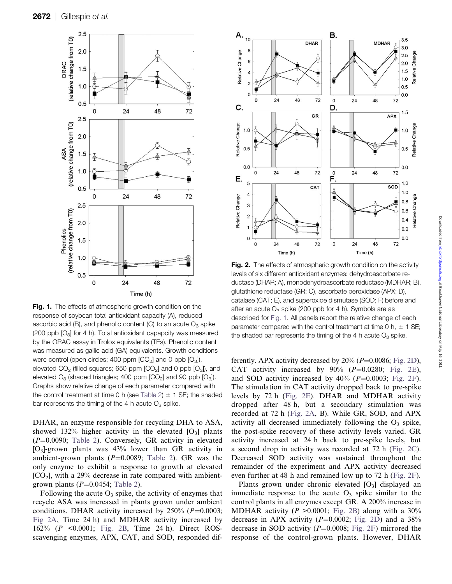

Fig. 1. The effects of atmospheric growth condition on the response of soybean total antioxidant capacity (A), reduced ascorbic acid (B), and phenolic content (C) to an acute  $O_3$  spike (200 ppb  $[O_3]$  for 4 h). Total antioxidant capapcity was measured by the ORAC assay in Trolox equivalents (TEs). Phenolic content was measured as gallic acid (GA) equivalents. Growth conditions were control (open circles; 400 ppm  $[CO<sub>2</sub>]$  and 0 ppb  $[O<sub>3</sub>]$ ), elevated  $CO<sub>2</sub>$  (filled squares; 650 ppm  $[CO<sub>2</sub>]$  and 0 ppb  $[O<sub>3</sub>])$ , and elevated  $O_3$  (shaded triangles; 400 ppm  $[CO_2]$  and 90 ppb  $[O_3]$ ). Graphs show relative change of each parameter compared with the control treatment at time 0 h (see [Table 2](#page-4-0))  $\pm$  1 SE; the shaded bar represents the timing of the 4 h acute  $O_3$  spike.

DHAR, an enzyme responsible for recycling DHA to ASA, showed 132% higher activity in the elevated  $[O_3]$  plants  $(P=0.0090;$  [Table 2](#page-4-0)). Conversely, GR activity in elevated  $[O_3]$ -grown plants was 43% lower than GR activity in ambient-grown plants ( $P=0.0089$ ; [Table 2](#page-4-0)). GR was the only enzyme to exhibit a response to growth at elevated  $[CO<sub>2</sub>]$ , with a 29% decrease in rate compared with ambientgrown plants  $(P=0.0454;$  [Table 2](#page-4-0)).

Following the acute  $O_3$  spike, the activity of enzymes that recycle ASA was increased in plants grown under ambient conditions. DHAR activity increased by  $250\%$  ( $P=0.0003$ ; Fig 2A, Time 24 h) and MDHAR activity increased by 162% (P <0.0001; Fig. 2B, Time 24 h). Direct ROSscavenging enzymes, APX, CAT, and SOD, responded dif-



Fig. 2. The effects of atmospheric growth condition on the activity levels of six different antioxidant enzymes: dehydroascorbate reductase (DHAR; A), monodehydroascorbate reductase (MDHAR; B), glutathione reductase (GR; C), ascorbate peroxidase (APX; D), catalase (CAT; E), and superoxide dismutase (SOD; F) before and after an acute  $O_3$  spike (200 ppb for 4 h). Symbols are as described for Fig. 1. All panels report the relative change of each parameter compared with the control treatment at time 0 h,  $\pm$  1 SE; the shaded bar represents the timing of the 4 h acute  $O_3$  spike.

ferently. APX activity decreased by  $20\%$  ( $P=0.0086$ ; Fig. 2D), CAT activity increased by  $90\%$  ( $P=0.0280$ ; Fig. 2E), and SOD activity increased by  $40\%$  ( $P=0.0003$ ; Fig. 2F). The stimulation in CAT activity dropped back to pre-spike levels by 72 h (Fig. 2E). DHAR and MDHAR activity dropped after 48 h, but a secondary stimulation was recorded at 72 h (Fig. 2A, B). While GR, SOD, and APX activity all decreased immediately following the  $O_3$  spike, the post-spike recovery of these activity levels varied. GR activity increased at 24 h back to pre-spike levels, but a second drop in activity was recorded at 72 h (Fig. 2C). Decreased SOD activity was sustained throughout the remainder of the experiment and APX activity decreased even further at 48 h and remained low up to 72 h (Fig. 2F).

Plants grown under chronic elevated  $[O_3]$  displayed an immediate response to the acute  $O_3$  spike similar to the control plants in all enzymes except GR. A 200% increase in MDHAR activity ( $P > 0.0001$ ; Fig. 2B) along with a 30% decrease in APX activity  $(P=0.0002;$  Fig. 2D) and a 38% decrease in SOD activity  $(P=0.0008;$  Fig. 2F) mirrored the response of the control-grown plants. However, DHAR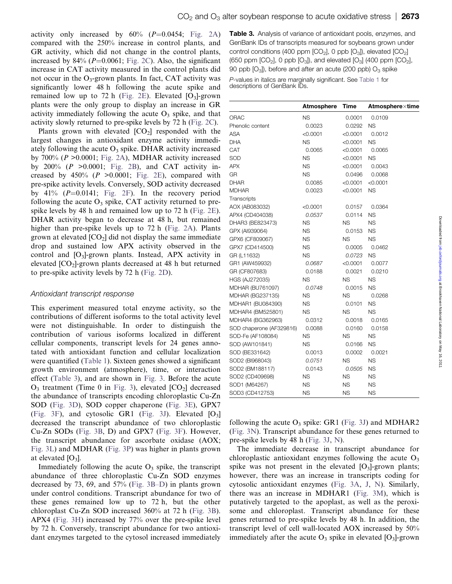activity only increased by  $60\%$  ( $P=0.0454$ ; Fig. 2A) compared with the 250% increase in control plants, and GR activity, which did not change in the control plants, increased by  $84\%$  ( $P=0.0061$ ; Fig. 2C). Also, the significant increase in CAT activity measured in the control plants did not occur in the  $O_3$ -grown plants. In fact, CAT activity was significantly lower 48 h following the acute spike and remained low up to 72 h (Fig. 2E). Elevated  $[O_3]$ -grown plants were the only group to display an increase in GR activity immediately following the acute  $O_3$  spike, and that activity slowly returned to pre-spike levels by 72 h (Fig. 2C).

Plants grown with elevated  $[CO_2]$  responded with the largest changes in antioxidant enzyme activity immediately following the acute  $O_3$  spike. DHAR activity increased by 700% ( $P > 0.0001$ ; Fig. 2A), MDHAR activity increased by  $200\%$  (P > 0.0001; Fig. 2B), and CAT activity increased by 450% ( $P > 0.0001$ ; Fig. 2E), compared with pre-spike activity levels. Conversely, SOD activity decreased by 41% ( $P=0.0141$ ; Fig. 2F). In the recovery period following the acute  $O_3$  spike, CAT activity returned to prespike levels by 48 h and remained low up to 72 h (Fig. 2E). DHAR activity began to decrease at 48 h, but remained higher than pre-spike levels up to 72 h (Fig. 2A). Plants grown at elevated  $[CO_2]$  did not display the same immediate drop and sustained low APX activity observed in the control and  $[O_3]$ -grown plants. Instead, APX activity in elevated [CO2]-grown plants decreased at 48 h but returned to pre-spike activity levels by 72 h (Fig. 2D).

## Antioxidant transcript response

This experiment measured total enzyme activity, so the contributions of different isoforms to the total activity level were not distinguishable. In order to distinguish the contribution of various isoforms localized in different cellular components, transcript levels for 24 genes annotated with antioxidant function and cellular localization were quantified [\(Table 1](#page-4-0)). Sixteen genes showed a significant growth environment (atmosphere), time, or interaction effect (Table 3), and are shown in Fig. 3. Before the acute  $O_3$  treatment (Time 0 in Fig. 3), elevated  $[CO_2]$  decreased the abundance of transcripts encoding chloroplastic Cu-Zn SOD (Fig. 3D), SOD copper chaperone (Fig. 3E), GPX7 (Fig. 3F), and cytosolic GR1 (Fig. 3J). Elevated  $[O_3]$ decreased the transcript abundance of two chloroplastic Cu-Zn SODs (Fig. 3B, D) and GPX7 (Fig. 3F). However, the transcript abundance for ascorbate oxidase (AOX; Fig. 3L) and MDHAR (Fig. 3P) was higher in plants grown at elevated  $[O_3]$ .

Immediately following the acute  $O_3$  spike, the transcript abundance of three chloroplastic Cu-Zn SOD enzymes decreased by 73, 69, and 57% (Fig. 3B–D) in plants grown under control conditions. Transcript abundance for two of these genes remained low up to 72 h, but the other chloroplast Cu-Zn SOD increased 360% at 72 h (Fig. 3B). APX4 (Fig. 3H) increased by 77% over the pre-spike level by 72 h. Conversely, transcript abundance for two antioxidant enzymes targeted to the cytosol increased immediately

Table 3. Analysis of variance of antioxidant pools, enzymes, and GenBank IDs of transcripts measured for soybeans grown under control conditions (400 ppm  $[CO_2]$ , 0 ppb  $[O_3]$ ), elevated  $[CO_2]$ (650 ppm  $[CO_2]$ , 0 ppb  $[O_3]$ ), and elevated  $[O_3]$  (400 ppm  $[CO_2]$ , 90 ppb  $[O_3]$ , before and after an acute (200 ppb)  $O_3$  spike

P-values in italics are marginally significant. See [Table 1](#page-4-0) for descriptions of GenBank IDs.

|                          | <b>Atmosphere</b> | <b>Time</b> | Atmospherextime |
|--------------------------|-------------------|-------------|-----------------|
| ORAC                     | <b>NS</b>         | 0.0001      | 0.0109          |
| Phenolic content         | 0.0023            | 0.0292      | <b>NS</b>       |
| ASA                      | < 0.0001          | < 0.0001    | 0.0012          |
| DHA                      | <b>NS</b>         | < 0.0001    | <b>NS</b>       |
| CAT                      | 0.0065            | < 0.0001    | 0.0065          |
| SOD                      | <b>NS</b>         | < 0.0001    | <b>NS</b>       |
| APX                      | <b>NS</b>         | < 0.0001    | 0.0043          |
| GR                       | <b>NS</b>         | 0.0496      | 0.0068          |
| DHAR                     | 0.0085            | < 0.0001    | < 0.0001        |
| <b>MDHAR</b>             | 0.0023            | < 0.0001    | <b>NS</b>       |
| Transcripts              |                   |             |                 |
| AOX (AB083032)           | < 0.0001          | 0.0157      | 0.0364          |
| APX4 (CD404038)          | 0.0537            | 0.0114      | <b>NS</b>       |
| DHAR3 (BE823473)         | <b>NS</b>         | <b>NS</b>   | <b>NS</b>       |
| GPX (AI939064)           | <b>NS</b>         | 0.0153      | <b>NS</b>       |
| GPX6 (CF809067)          | <b>NS</b>         | <b>NS</b>   | <b>NS</b>       |
| GPX7 (CD414500)          | <b>NS</b>         | 0.0005      | 0.0462          |
| GR (L11632)              | <b>NS</b>         | 0.0723      | <b>NS</b>       |
| GR1 (AW459932)           | 0.0687            | $<$ 0.0001  | 0.0077          |
| GR (CF807683)            | 0.0188            | 0.0021      | 0.0210          |
| <b>HGS (AJ272035)</b>    | <b>NS</b>         | <b>NS</b>   | <b>NS</b>       |
| MDHAR (BU761097)         | 0.0748            | 0.0015      | <b>NS</b>       |
| MDHAR (BG237135)         | <b>NS</b>         | <b>NS</b>   | 0.0268          |
| MDHAR1 (BU084390)        | <b>NS</b>         | 0.0101      | <b>NS</b>       |
| MDHAR4 (BM525801)        | <b>NS</b>         | <b>NS</b>   | <b>NS</b>       |
| MDHAR4 (BG362963)        | 0.0312            | 0.0018      | 0.0165          |
| SOD chaperone (AF329816) | 0.0088            | 0.0160      | 0.0158          |
| SOD-Fe (AF108084)        | <b>NS</b>         | <b>NS</b>   | <b>NS</b>       |
| SOD (AW101841)           | <b>NS</b>         | 0.0166      | <b>NS</b>       |
| SOD (BE331642)           | 0.0013            | 0.0002      | 0.0021          |
| SOD2 (BI968043)          | 0.0751            | <b>NS</b>   | <b>NS</b>       |
| SOD2 (BM188117)          | 0.0143            | 0.0505      | <b>NS</b>       |
| SOD2 (CD409698)          | <b>NS</b>         | <b>NS</b>   | <b>NS</b>       |
| SOD1 (M64267)            | <b>NS</b>         | <b>NS</b>   | <b>NS</b>       |
| SOD3 (CD412753)          | <b>NS</b>         | <b>NS</b>   | <b>NS</b>       |

following the acute  $O_3$  spike: GR1 (Fig. 3J) and MDHAR2 (Fig. 3N). Transcript abundance for these genes returned to pre-spike levels by 48 h (Fig. 3J, N).

The immediate decrease in transcript abundance for chloroplastic antioxidant enzymes following the acute  $O_3$ spike was not present in the elevated  $[O_3]$ -grown plants; however, there was an increase in transcripts coding for cytosolic antioxidant enzymes (Fig. 3A, J, N). Similarly, there was an increase in MDHAR1 (Fig. 3M), which is putatively targeted to the apoplast, as well as the peroxisome and chloroplast. Transcript abundance for these genes returned to pre-spike levels by 48 h. In addition, the transcript level of cell wall-located AOX increased by 50% immediately after the acute  $O_3$  spike in elevated  $[O_3]$ -grown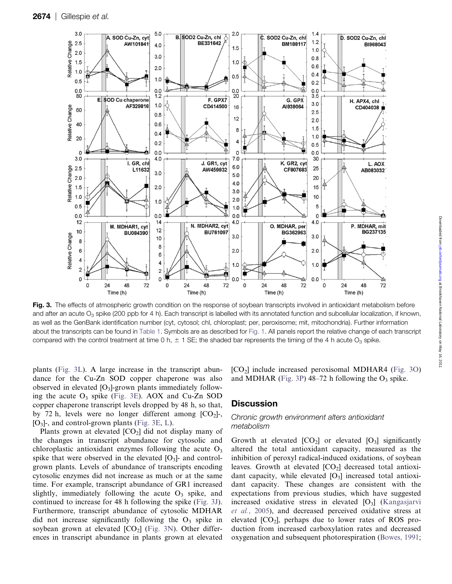

Fig. 3. The effects of atmospheric growth condition on the response of soybean transcripts involved in antioxidant metabolism before and after an acute  $O_3$  spike (200 ppb for 4 h). Each transcript is labelled with its annotated function and subcellular localization, if known, as well as the GenBank identification number (cyt, cytosol; chl, chloroplast; per, peroxisome; mit, mitochondria). Further information about the transcripts can be found in [Table 1](#page-4-0). Symbols are as described for Fig. 1. All panels report the relative change of each transcript compared with the control treatment at time 0 h,  $\pm$  1 SE; the shaded bar represents the timing of the 4 h acute O<sub>3</sub> spike.

plants (Fig. 3L). A large increase in the transcript abundance for the Cu-Zn SOD copper chaperone was also observed in elevated  $[O_3]$ -grown plants immediately following the acute  $O_3$  spike (Fig. 3E). AOX and Cu-Zn SOD copper chaperone transcript levels dropped by 48 h, so that, by 72 h, levels were no longer different among  $[CO<sub>2</sub>]$ -, [O3]-, and control-grown plants (Fig. 3E, L).

Plants grown at elevated  $[CO_2]$  did not display many of the changes in transcript abundance for cytosolic and chloroplastic antioxidant enzymes following the acute  $O_3$ spike that were observed in the elevated  $[O_3]$ - and controlgrown plants. Levels of abundance of transcripts encoding cytosolic enzymes did not increase as much or at the same time. For example, transcript abundance of GR1 increased slightly, immediately following the acute  $O_3$  spike, and continued to increase for 48 h following the spike (Fig. 3J). Furthermore, transcript abundance of cytosolic MDHAR did not increase significantly following the  $O_3$  spike in soybean grown at elevated  $[CO_2]$  (Fig. 3N). Other differences in transcript abundance in plants grown at elevated  $[CO<sub>2</sub>]$  include increased peroxisomal MDHAR4 (Fig. 3O) and MDHAR (Fig. 3P)  $48-72$  h following the O<sub>3</sub> spike.

## **Discussion**

## Chronic growth environment alters antioxidant metabolism

Growth at elevated  $[CO_2]$  or elevated  $[O_3]$  significantly altered the total antioxidant capacity, measured as the inhibition of peroxyl radical-induced oxidations, of soybean leaves. Growth at elevated  $[CO<sub>2</sub>]$  decreased total antioxidant capacity, while elevated  $[O_3]$  increased total antioxidant capacity. These changes are consistent with the expectations from previous studies, which have suggested increased oxidative stress in elevated  $[O_3]$  ([Kangasjarvi](#page-10-0) et al.[, 2005\)](#page-10-0), and decreased perceived oxidative stress at elevated  $[CO<sub>2</sub>]$ , perhaps due to lower rates of ROS production from increased carboxylation rates and decreased oxygenation and subsequent photorespiration ([Bowes, 1991;](#page-9-0)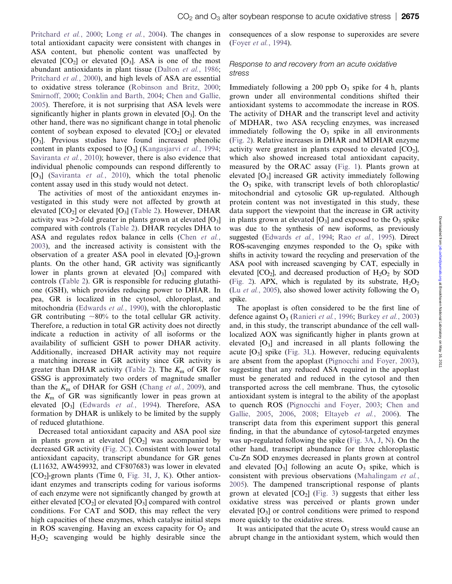[Pritchard](#page-11-0) et al., 2000; Long et al.[, 2004\)](#page-10-0). The changes in total antioxidant capacity were consistent with changes in ASA content, but phenolic content was unaffected by elevated  $[CO_2]$  or elevated  $[O_3]$ . ASA is one of the most abundant antioxidants in plant tissue [\(Dalton](#page-10-0) et al., 1986; [Pritchard](#page-11-0) et al., 2000), and high levels of ASA are essential to oxidative stress tolerance ([Robinson and Britz, 2000](#page-11-0); [Smirnoff, 2000;](#page-11-0) [Conklin and Barth, 2004](#page-10-0); [Chen and Gallie,](#page-10-0) [2005\)](#page-10-0). Therefore, it is not surprising that ASA levels were significantly higher in plants grown in elevated  $[O_3]$ . On the other hand, there was no significant change in total phenolic content of soybean exposed to elevated  $[CO<sub>2</sub>]$  or elevated  $[O_3]$ . Previous studies have found increased phenolic content in plants exposed to  $[O_3]$  ([Kangasjarvi](#page-10-0) et al., 1994; [Saviranta](#page-11-0) et al., 2010); however, there is also evidence that individual phenolic compounds can respond differently to  $[O_3]$  ([Saviranta](#page-11-0) *et al.*, 2010), which the total phenolic content assay used in this study would not detect.

The activities of most of the antioxidant enzymes investigated in this study were not affected by growth at elevated  $[CO_2]$  or elevated  $[O_3]$  ([Table 2](#page-4-0)). However, DHAR activity was  $\geq 2$ -fold greater in plants grown at elevated [O<sub>3</sub>] compared with controls [\(Table 2\)](#page-4-0). DHAR recycles DHA to ASA and regulates redox balance in cells (Chen [et al.](#page-10-0), [2003\)](#page-10-0), and the increased activity is consistent with the observation of a greater ASA pool in elevated  $[O_3]$ -grown plants. On the other hand, GR activity was significantly lower in plants grown at elevated  $[O_3]$  compared with controls [\(Table 2\)](#page-4-0). GR is responsible for reducing glutathione (GSH), which provides reducing power to DHAR. In pea, GR is localized in the cytosol, chloroplast, and mitochondria [\(Edwards](#page-10-0) et al., 1990), with the chloroplastic GR contributing  $\sim 80\%$  to the total cellular GR activity. Therefore, a reduction in total GR activity does not directly indicate a reduction in activity of all isoforms or the availability of sufficient GSH to power DHAR activity. Additionally, increased DHAR activity may not require a matching increase in GR activity since GR activity is greater than DHAR activity ([Table 2](#page-4-0)). The  $K<sub>m</sub>$  of GR for GSSG is approximately two orders of magnitude smaller than the  $K<sub>m</sub>$  of DHAR for GSH ([Chang](#page-10-0) et al., 2009), and the  $K<sub>m</sub>$  of GR was significantly lower in peas grown at elevated [O<sub>3</sub>] ([Edwards](#page-10-0) et al., 1994). Therefore, ASA formation by DHAR is unlikely to be limited by the supply of reduced glutathione.

Decreased total antioxidant capacity and ASA pool size in plants grown at elevated  $[CO<sub>2</sub>]$  was accompanied by decreased GR activity (Fig. 2C). Consistent with lower total antioxidant capacity, transcript abundance for GR genes (L11632, AW459932, and CF807683) was lower in elevated  $[CO<sub>2</sub>]$ -grown plants (Time 0, Fig. 3I, J, K). Other antioxidant enzymes and transcripts coding for various isoforms of each enzyme were not significantly changed by growth at either elevated  $[CO_2]$  or elevated  $[O_3]$  compared with control conditions. For CAT and SOD, this may reflect the very high capacities of these enzymes, which catalyse initial steps in ROS scavenging. Having an excess capacity for  $O<sub>2</sub>$  and  $H_2O_2$  scavenging would be highly desirable since the consequences of a slow response to superoxides are severe [\(Foyer](#page-10-0) et al., 1994).

## Response to and recovery from an acute oxidative stress

Immediately following a 200 ppb  $O_3$  spike for 4 h, plants grown under all environmental conditions shifted their antioxidant systems to accommodate the increase in ROS. The activity of DHAR and the transcript level and activity of MDHAR, two ASA recycling enzymes, was increased immediately following the  $O_3$  spike in all environments (Fig. 2). Relative increases in DHAR and MDHAR enzyme activity were greatest in plants exposed to elevated  $[CO<sub>2</sub>]$ , which also showed increased total antioxidant capacity, measured by the ORAC assay (Fig. 1). Plants grown at elevated  $[O_3]$  increased GR activity immediately following the  $O_3$  spike, with transcript levels of both chloroplastic mitochondrial and cytosolic GR up-regulated. Although protein content was not investigated in this study, these data support the viewpoint that the increase in GR activity in plants grown at elevated  $[O_3]$  and exposed to the  $O_3$  spike was due to the synthesis of new isoforms, as previously suggested [\(Edwards](#page-10-0) et al., 1994; Rao et al.[, 1995\)](#page-11-0). Direct ROS-scavenging enzymes responded to the  $O_3$  spike with shifts in activity toward the recycling and preservation of the ASA pool with increased scavenging by CAT, especially in elevated  $[CO_2]$ , and decreased production of  $H_2O_2$  by SOD (Fig. 2). APX, which is regulated by its substrate,  $H_2O_2$ (Lu *et al.*[, 2005](#page-11-0)), also showed lower activity following the  $O_3$ spike.

The apoplast is often considered to be the first line of defence against  $O_3$  ([Ranieri](#page-11-0) *et al.*, 1996; [Burkey](#page-9-0) *et al.*, 2003) and, in this study, the transcript abundance of the cell walllocalized AOX was significantly higher in plants grown at elevated  $[O_3]$  and increased in all plants following the acute  $[O_3]$  spike (Fig. 3L). However, reducing equivalents are absent from the apoplast ([Pignocchi and Foyer, 2003\)](#page-11-0), suggesting that any reduced ASA required in the apoplast must be generated and reduced in the cytosol and then transported across the cell membrane. Thus, the cytosolic antioxidant system is integral to the ability of the apoplast to quench ROS [\(Pignocchi and Foyer, 2003](#page-11-0); [Chen and](#page-10-0) [Gallie, 2005](#page-10-0), [2006](#page-10-0), [2008;](#page-10-0) [Eltayeb](#page-10-0) et al., 2006). The transcript data from this experiment support this general finding, in that the abundance of cytosol-targeted enzymes was up-regulated following the spike (Fig. 3A, J, N). On the other hand, transcript abundance for three chloroplastic Cu-Zn SOD enzymes decreased in plants grown at control and elevated  $[O_3]$  following an acute  $O_3$  spike, which is consistent with previous observations ([Mahalingam](#page-11-0) et al., [2005\)](#page-11-0). The dampened transcriptional response of plants grown at elevated  $[CO_2]$  (Fig. 3) suggests that either less oxidative stress was perceived or plants grown under elevated  $[O_3]$  or control conditions were primed to respond more quickly to the oxidative stress.

It was anticipated that the acute  $O_3$  stress would cause an abrupt change in the antioxidant system, which would then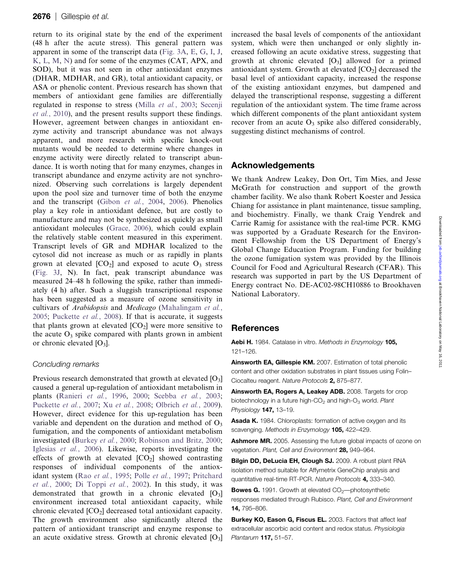<span id="page-9-0"></span>return to its original state by the end of the experiment (48 h after the acute stress). This general pattern was apparent in some of the transcript data (Fig. 3A, E, G, I, J, K, L, M, N) and for some of the enzymes (CAT, APX, and SOD), but it was not seen in other antioxidant enzymes (DHAR, MDHAR, and GR), total antioxidant capacity, or ASA or phenolic content. Previous research has shown that members of antioxidant gene families are differentially regulated in response to stress (Milla et al.[, 2003;](#page-11-0) [Secenji](#page-11-0) et al.[, 2010](#page-11-0)), and the present results support these findings. However, agreement between changes in antioxidant enzyme activity and transcript abundance was not always apparent, and more research with specific knock-out mutants would be needed to determine where changes in enzyme activity were directly related to transcript abundance. It is worth noting that for many enzymes, changes in transcript abundance and enzyme activity are not synchronized. Observing such correlations is largely dependent upon the pool size and turnover time of both the enzyme and the transcript (Gibon et al.[, 2004,](#page-10-0) [2006](#page-10-0)). Phenolics play a key role in antioxidant defence, but are costly to manufacture and may not be synthesized as quickly as small antioxidant molecules ([Grace, 2006](#page-10-0)), which could explain the relatively stable content measured in this experiment. Transcript levels of GR and MDHAR localized to the cytosol did not increase as much or as rapidly in plants grown at elevated  $[CO_2]$  and exposed to acute  $O_3$  stress (Fig. 3J, N). In fact, peak transcript abundance was measured 24–48 h following the spike, rather than immediately (4 h) after. Such a sluggish transcriptional response has been suggested as a measure of ozone sensitivity in cultivars of Arabidopsis and Medicago [\(Mahalingam](#page-11-0) et al., [2005](#page-11-0); [Puckette](#page-11-0) *et al.*, 2008). If that is accurate, it suggests that plants grown at elevated  $[CO_2]$  were more sensitive to the acute  $O_3$  spike compared with plants grown in ambient or chronic elevated  $[O_3]$ .

# Concluding remarks

Previous research demonstrated that growth at elevated [O<sub>3</sub>] caused a general up-regulation of antioxidant metabolism in plants ([Ranieri](#page-11-0) et al., 1996, [2000](#page-11-0); [Scebba](#page-11-0) et al., 2003; [Puckette](#page-11-0) et al., 2007; Xu et al.[, 2008;](#page-11-0) [Olbrich](#page-11-0) et al., 2009). However, direct evidence for this up-regulation has been variable and dependent on the duration and method of  $O_3$ fumigation, and the components of antioxidant metabolism investigated [\(Burkey](#page-10-0) et al., 2000; [Robinson and Britz, 2000;](#page-11-0) [Iglesias](#page-10-0) *et al.*, 2006). Likewise, reports investigating the effects of growth at elevated  $[CO_2]$  showed contrasting responses of individual components of the antiox-idant system (Rao et al.[, 1995;](#page-11-0) Polle et al.[, 1997;](#page-11-0) [Pritchard](#page-11-0) et al.[, 2000;](#page-11-0) [Di Toppi](#page-10-0) et al., 2002). In this study, it was demonstrated that growth in a chronic elevated  $[O_3]$ environment increased total antioxidant capacity, while chronic elevated  $[CO<sub>2</sub>]$  decreased total antioxidant capacity. The growth environment also significantly altered the pattern of antioxidant transcript and enzyme response to an acute oxidative stress. Growth at chronic elevated  $[O_3]$  increased the basal levels of components of the antioxidant system, which were then unchanged or only slightly increased following an acute oxidative stress, suggesting that growth at chronic elevated  $[O_3]$  allowed for a primed antioxidant system. Growth at elevated  $[CO<sub>2</sub>]$  decreased the basal level of antioxidant capacity, increased the response of the existing antioxidant enzymes, but dampened and delayed the transcriptional response, suggesting a different regulation of the antioxidant system. The time frame across which different components of the plant antioxidant system recover from an acute  $O_3$  spike also differed considerably, suggesting distinct mechanisms of control.

# Acknowledgements

We thank Andrew Leakey, Don Ort, Tim Mies, and Jesse McGrath for construction and support of the growth chamber facility. We also thank Robert Koester and Jessica Chiang for assistance in plant maintenance, tissue sampling, and biochemistry. Finally, we thank Craig Yendrek and Carrie Ramig for assistance with the real-time PCR. KMG was supported by a Graduate Research for the Environment Fellowship from the US Department of Energy's Global Change Education Program. Funding for building the ozone fumigation system was provided by the Illinois Council for Food and Agricultural Research (CFAR). This research was supported in part by the US Department of Energy contract No. DE-AC02-98CH10886 to Brookhaven National Laboratory.

# References

Aebi H. 1984. Catalase in vitro. Methods in Enzymology 105, 121–126.

Ainsworth EA, Gillespie KM. 2007. Estimation of total phenolic content and other oxidation substrates in plant tissues using Folin– Ciocalteu reagent. Nature Protocols 2, 875–877.

Ainsworth EA, Rogers A, Leakey ADB. 2008. Targets for crop biotechnology in a future high- $CO<sub>2</sub>$  and high- $O<sub>3</sub>$  world. Plant Physiology 147, 13-19.

Asada K. 1984. Chloroplasts: formation of active oxygen and its scavenging. Methods in Enzymology 105, 422-429.

Ashmore MR. 2005. Assessing the future global impacts of ozone on vegetation. Plant, Cell and Environment 28, 949–964.

Bilgin DD, DeLucia EH, Clough SJ. 2009. A robust plant RNA isolation method suitable for Affymetrix GeneChip analysis and quantitative real-time RT-PCR. Nature Protocols 4, 333–340.

**Bowes G.** 1991. Growth at elevated  $CO<sub>2</sub>$ -photosynthetic responses mediated through Rubisco. Plant, Cell and Environment 14, 795–806.

Burkey KO, Eason G, Fiscus EL. 2003. Factors that affect leaf extracellular ascorbic acid content and redox status. Physiologia Plantarum 117, 51–57.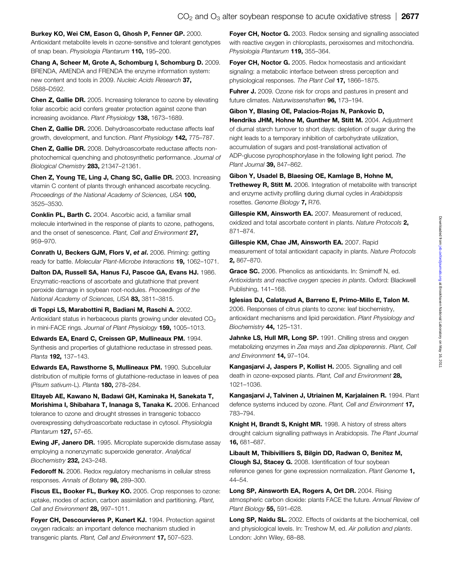<span id="page-10-0"></span>Burkey KO, Wei CM, Eason G, Ghosh P, Fenner GP. 2000. Antioxidant metabolite levels in ozone-sensitive and tolerant genotypes of snap bean. Physiologia Plantarum 110, 195–200.

Chang A, Scheer M, Grote A, Schomburg I, Schomburg D. 2009. BRENDA, AMENDA and FRENDA the enzyme information system: new content and tools in 2009. Nucleic Acids Research 37, D588–D592.

Chen Z, Gallie DR. 2005. Increasing tolerance to ozone by elevating foliar ascorbic acid confers greater protection against ozone than increasing avoidance. Plant Physiology 138, 1673-1689.

Chen Z, Gallie DR. 2006. Dehydroascorbate reductase affects leaf growth, development, and function. Plant Physiology 142, 775–787.

Chen Z, Gallie DR. 2008. Dehydroascorbate reductase affects nonphotochemical quenching and photosynthetic performance. Journal of Biological Chemistry 283, 21347-21361.

Chen Z, Young TE, Ling J, Chang SC, Gallie DR. 2003. Increasing vitamin C content of plants through enhanced ascorbate recycling. Proceedings of the National Academy of Sciences, USA 100, 3525–3530.

Conklin PL, Barth C. 2004. Ascorbic acid, a familiar small molecule intertwined in the response of plants to ozone, pathogens, and the onset of senescence. Plant, Cell and Environment 27, 959–970.

Conrath U, Beckers GJM, Flors V, et al. 2006. Priming: getting ready for battle. Molecular Plant-Microbe Interactions 19, 1062–1071.

Dalton DA, Russell SA, Hanus FJ, Pascoe GA, Evans HJ. 1986. Enzymatic-reactions of ascorbate and glutathione that prevent peroxide damage in soybean root-nodules. Proceedings of the National Academy of Sciences, USA 83, 3811-3815.

di Toppi LS, Marabottini R, Badiani M, Raschi A. 2002. Antioxidant status in herbaceous plants growing under elevated CO<sub>2</sub> in mini-FACE rings. Journal of Plant Physiology 159, 1005-1013.

Edwards EA, Enard C, Creissen GP, Mullineaux PM. 1994. Synthesis and properties of glutathione reductase in stressed peas. Planta 192, 137–143.

Edwards EA, Rawsthorne S, Mullineaux PM. 1990. Subcellular distribution of multiple forms of glutathione-reductase in leaves of pea (Pisum sativum-L). Planta 180, 278–284.

Eltayeb AE, Kawano N, Badawi GH, Kaminaka H, Sanekata T, Morishima I, Shibahara T, Inanaga S, Tanaka K. 2006. Enhanced tolerance to ozone and drought stresses in transgenic tobacco overexpressing dehydroascorbate reductase in cytosol. Physiologia Plantarum 127, 57–65.

Ewing JF, Janero DR. 1995. Microplate superoxide dismutase assay employing a nonenzymatic superoxide generator. Analytical Biochemistry 232, 243–248.

**Fedoroff N.** 2006. Redox regulatory mechanisms in cellular stress responses. Annals of Botany 98, 289-300.

Fiscus EL, Booker FL, Burkey KO. 2005. Crop responses to ozone: uptake, modes of action, carbon assimilation and partitioning. Plant, Cell and Environment 28, 997–1011.

Fover CH. Descourvieres P. Kunert KJ. 1994. Protection against oxygen radicals: an important defence mechanism studied in transgenic plants. Plant, Cell and Environment 17, 507-523.

Foyer CH, Noctor G. 2003. Redox sensing and signalling associated with reactive oxygen in chloroplasts, peroxisomes and mitochondria. Physiologia Plantarum 119, 355-364.

Foyer CH, Noctor G. 2005. Redox homeostasis and antioxidant signaling: a metabolic interface between stress perception and physiological responses. The Plant Cell 17, 1866-1875.

Fuhrer J. 2009. Ozone risk for crops and pastures in present and future climates. Naturwissenshaften 96, 173–194.

## Gibon Y, Blasing OE, Palacios-Rojas N, Pankovic D,

Hendriks JHM, Hohne M, Gunther M, Stitt M. 2004. Adjustment of diurnal starch turnover to short days: depletion of sugar during the night leads to a temporary inhibition of carbohydrate utilization, accumulation of sugars and post-translational activation of ADP-glucose pyrophosphorylase in the following light period. The Plant Journal 39, 847-862.

## Gibon Y, Usadel B, Blaesing OE, Kamlage B, Hohne M,

Trethewey R, Stitt M. 2006. Integration of metabolite with transcript and enzyme activity profiling during diurnal cycles in Arabidopsis rosettes. Genome Biology 7, R76.

Gillespie KM, Ainsworth EA. 2007. Measurement of reduced, oxidized and total ascorbate content in plants. Nature Protocols 2, 871–874.

Gillespie KM, Chae JM, Ainsworth EA. 2007. Rapid measurement of total antioxidant capacity in plants. Nature Protocols 2, 867–870.

Grace SC. 2006. Phenolics as antioxidants. In: Smirnoff N, ed. Antioxidants and reactive oxygen species in plants. Oxford: Blackwell Publishing, 141–168.

Iglesias DJ, Calatayud A, Barreno E, Primo-Millo E, Talon M. 2006. Responses of citrus plants to ozone: leaf biochemistry, antioxidant mechanisms and lipid peroxidation. Plant Physiology and Biochemistry 44, 125-131.

Jahnke LS, Hull MR, Long SP. 1991. Chilling stress and oxygen metabolizing enzymes in Zea mays and Zea diploperennis. Plant, Cell and Environment 14, 97-104.

Kangasjarvi J, Jaspers P, Kollist H. 2005. Signalling and cell death in ozone-exposed plants. Plant, Cell and Environment 28, 1021–1036.

Kangasjarvi J, Talvinen J, Utriainen M, Karjalainen R. 1994. Plant defence systems induced by ozone. Plant, Cell and Environment 17, 783–794.

Knight H, Brandt S, Knight MR. 1998. A history of stress alters drought calcium signalling pathways in Arabidopsis. The Plant Journal 16, 681–687.

Libault M, Thibivilliers S, Bilgin DD, Radwan O, Benitez M, Clough SJ, Stacey G. 2008. Identification of four soybean reference genes for gene expression normalization. Plant Genome 1, 44–54.

Long SP, Ainsworth EA, Rogers A, Ort DR. 2004. Rising atmospheric carbon dioxide: plants FACE the future. Annual Review of Plant Biology 55, 591-628.

Long SP, Naidu SL. 2002. Effects of oxidants at the biochemical, cell and physiological levels. In: Treshow M, ed. Air pollution and plants. London: John Wiley, 68–88.